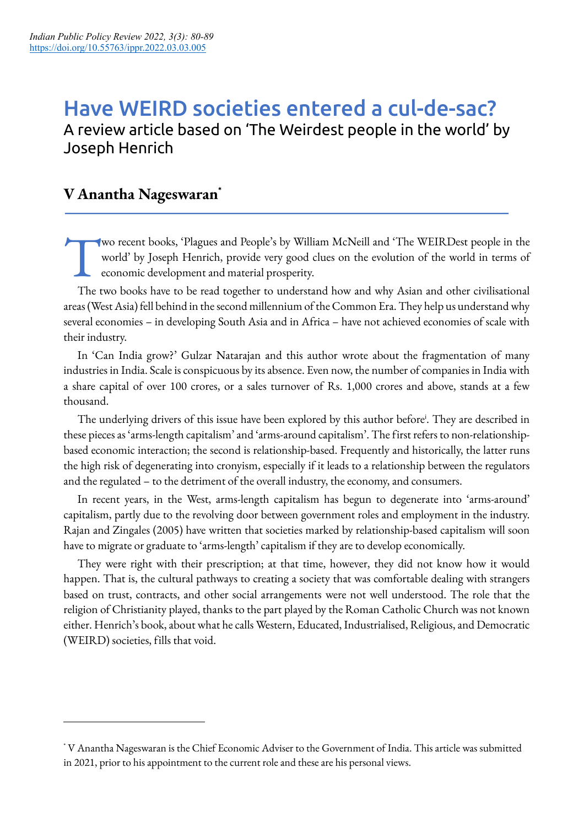# Have WEIRD societies entered a cul-de-sac? A review article based on 'The Weirdest people in the world' by Joseph Henrich

### **V Anantha Nageswaran\***

wo recent books, 'Plagues and People's by William McNeill and 'The WEIRDest people in the world' by Joseph Henrich, provide very good clues on the evolution of the world in terms of economic development and material prosperity. T

The two books have to be read together to understand how and why Asian and other civilisational areas (West Asia) fell behind in the second millennium of the Common Era. They help us understand why several economies – in developing South Asia and in Africa – have not achieved economies of scale with their industry.

In 'Can India grow?' Gulzar Natarajan and this author wrote about the fragmentation of many industries in India. Scale is conspicuous by its absence. Even now, the number of companies in India with a share capital of over 100 crores, or a sales turnover of Rs. 1,000 crores and above, stands at a few thousand.

The underlying drivers of this issue have been explored by this author before<sup>i</sup>. They are described in these pieces as 'arms-length capitalism' and 'arms-around capitalism'. The first refers to non-relationshipbased economic interaction; the second is relationship-based. Frequently and historically, the latter runs the high risk of degenerating into cronyism, especially if it leads to a relationship between the regulators and the regulated – to the detriment of the overall industry, the economy, and consumers.

In recent years, in the West, arms-length capitalism has begun to degenerate into 'arms-around' capitalism, partly due to the revolving door between government roles and employment in the industry. Rajan and Zingales (2005) have written that societies marked by relationship-based capitalism will soon have to migrate or graduate to 'arms-length' capitalism if they are to develop economically.

They were right with their prescription; at that time, however, they did not know how it would happen. That is, the cultural pathways to creating a society that was comfortable dealing with strangers based on trust, contracts, and other social arrangements were not well understood. The role that the religion of Christianity played, thanks to the part played by the Roman Catholic Church was not known either. Henrich's book, about what he calls Western, Educated, Industrialised, Religious, and Democratic (WEIRD) societies, fills that void.

<sup>\*</sup> V Anantha Nageswaran is the Chief Economic Adviser to the Government of India. This article was submitted in 2021, prior to his appointment to the current role and these are his personal views.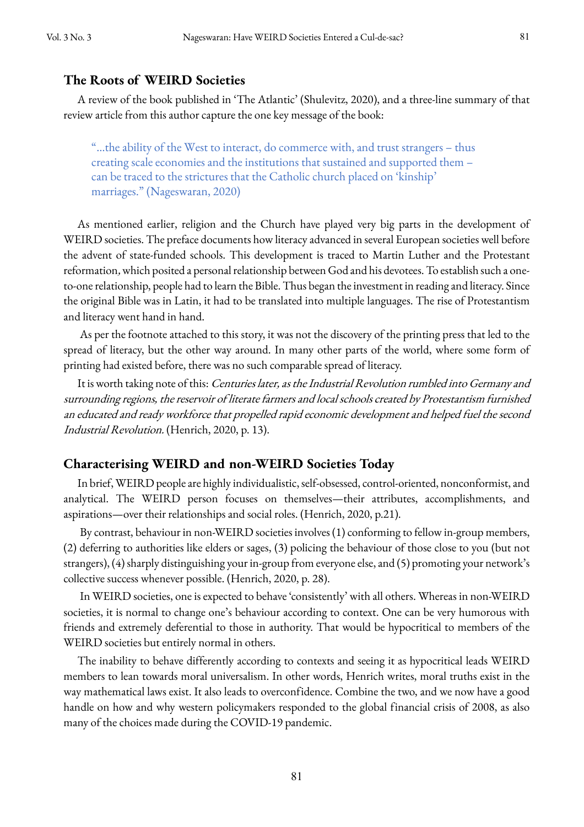#### **The Roots of WEIRD Societies**

A review of the book published in 'The Atlantic' (Shulevitz, 2020), and a three-line summary of that review article from this author capture the one key message of the book:

"…the ability of the West to interact, do commerce with, and trust strangers – thus creating scale economies and the institutions that sustained and supported them – can be traced to the strictures that the Catholic church placed on 'kinship' marriages." (Nageswaran, 2020)

As mentioned earlier, religion and the Church have played very big parts in the development of WEIRD societies. The preface documents how literacy advanced in several European societies well before the advent of state-funded schools. This development is traced to Martin Luther and the Protestant reformation, which posited a personal relationship between God and his devotees. To establish such a oneto-one relationship, people had to learn the Bible. Thus began the investment in reading and literacy. Since the original Bible was in Latin, it had to be translated into multiple languages. The rise of Protestantism and literacy went hand in hand.

As per the footnote attached to this story, it was not the discovery of the printing press that led to the spread of literacy, but the other way around. In many other parts of the world, where some form of printing had existed before, there was no such comparable spread of literacy.

It is worth taking note of this: Centuries later, as the Industrial Revolution rumbled into Germany and surrounding regions, the reservoir of literate farmers and local schools created by Protestantism furnished an educated and ready workforce that propelled rapid economic development and helped fuel the second Industrial Revolution. (Henrich, 2020, p. 13).

#### **Characterising WEIRD and non-WEIRD Societies Today**

In brief, WEIRD people are highly individualistic, self-obsessed, control-oriented, nonconformist, and analytical. The WEIRD person focuses on themselves—their attributes, accomplishments, and aspirations—over their relationships and social roles. (Henrich, 2020, p.21).

By contrast, behaviour in non-WEIRD societies involves (1) conforming to fellow in-group members, (2) deferring to authorities like elders or sages, (3) policing the behaviour of those close to you (but not strangers), (4) sharply distinguishing your in-group from everyone else, and (5) promoting your network's collective success whenever possible. (Henrich, 2020, p. 28).

In WEIRD societies, one is expected to behave 'consistently' with all others. Whereas in non-WEIRD societies, it is normal to change one's behaviour according to context. One can be very humorous with friends and extremely deferential to those in authority. That would be hypocritical to members of the WEIRD societies but entirely normal in others.

The inability to behave differently according to contexts and seeing it as hypocritical leads WEIRD members to lean towards moral universalism. In other words, Henrich writes, moral truths exist in the way mathematical laws exist. It also leads to overconfidence. Combine the two, and we now have a good handle on how and why western policymakers responded to the global financial crisis of 2008, as also many of the choices made during the COVID-19 pandemic.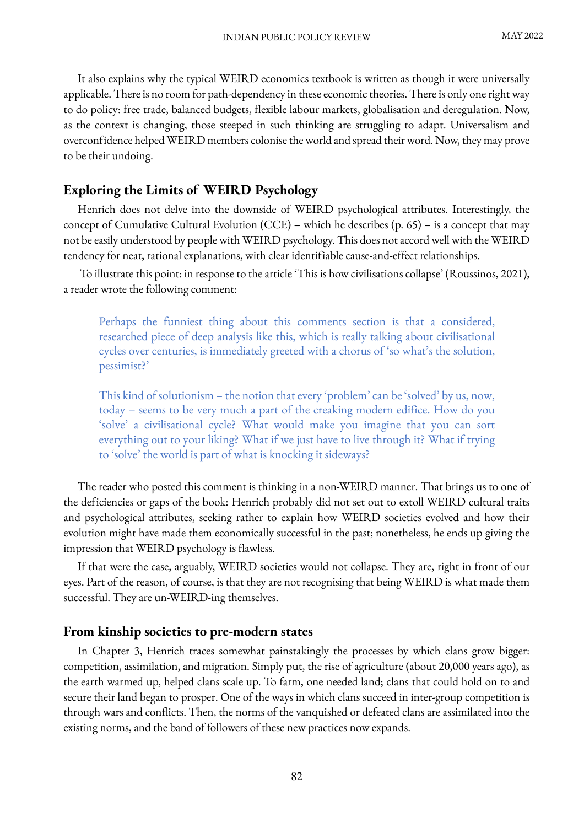It also explains why the typical WEIRD economics textbook is written as though it were universally applicable. There is no room for path-dependency in these economic theories. There is only one right way to do policy: free trade, balanced budgets, flexible labour markets, globalisation and deregulation. Now, as the context is changing, those steeped in such thinking are struggling to adapt. Universalism and overconfidence helped WEIRD members colonise the world and spread their word. Now, they may prove to be their undoing.

#### **Exploring the Limits of WEIRD Psychology**

Henrich does not delve into the downside of WEIRD psychological attributes. Interestingly, the concept of Cumulative Cultural Evolution (CCE) – which he describes (p. 65) – is a concept that may not be easily understood by people with WEIRD psychology. This does not accord well with the WEIRD tendency for neat, rational explanations, with clear identifiable cause-and-effect relationships.

To illustrate this point: in response to the article 'This is how civilisations collapse' (Roussinos, 2021), a reader wrote the following comment:

Perhaps the funniest thing about this comments section is that a considered, researched piece of deep analysis like this, which is really talking about civilisational cycles over centuries, is immediately greeted with a chorus of 'so what's the solution, pessimist?'

This kind of solutionism – the notion that every 'problem' can be 'solved' by us, now, today – seems to be very much a part of the creaking modern edifice. How do you 'solve' a civilisational cycle? What would make you imagine that you can sort everything out to your liking? What if we just have to live through it? What if trying to 'solve' the world is part of what is knocking it sideways?

The reader who posted this comment is thinking in a non-WEIRD manner. That brings us to one of the deficiencies or gaps of the book: Henrich probably did not set out to extoll WEIRD cultural traits and psychological attributes, seeking rather to explain how WEIRD societies evolved and how their evolution might have made them economically successful in the past; nonetheless, he ends up giving the impression that WEIRD psychology is flawless.

If that were the case, arguably, WEIRD societies would not collapse. They are, right in front of our eyes. Part of the reason, of course, is that they are not recognising that being WEIRD is what made them successful. They are un-WEIRD-ing themselves.

#### **From kinship societies to pre-modern states**

In Chapter 3, Henrich traces somewhat painstakingly the processes by which clans grow bigger: competition, assimilation, and migration. Simply put, the rise of agriculture (about 20,000 years ago), as the earth warmed up, helped clans scale up. To farm, one needed land; clans that could hold on to and secure their land began to prosper. One of the ways in which clans succeed in inter-group competition is through wars and conflicts. Then, the norms of the vanquished or defeated clans are assimilated into the existing norms, and the band of followers of these new practices now expands.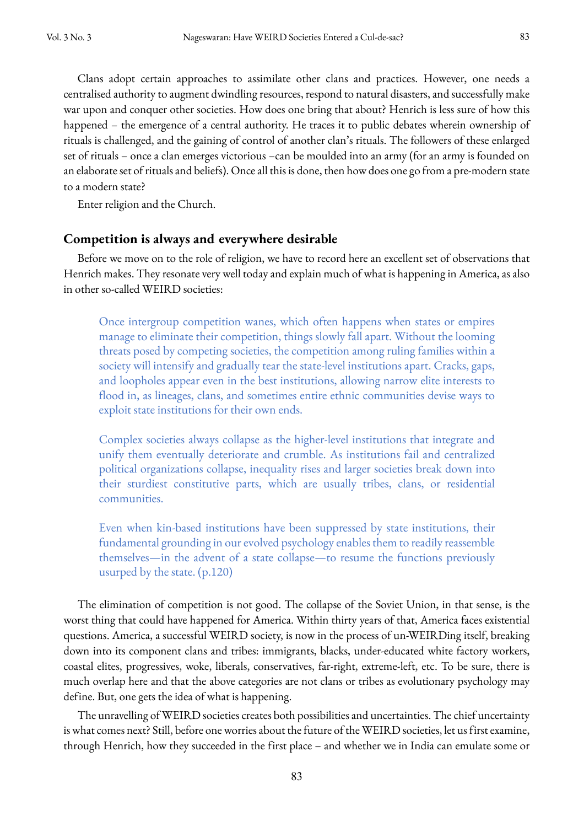Clans adopt certain approaches to assimilate other clans and practices. However, one needs a centralised authority to augment dwindling resources, respond to natural disasters, and successfully make war upon and conquer other societies. How does one bring that about? Henrich is less sure of how this happened – the emergence of a central authority. He traces it to public debates wherein ownership of rituals is challenged, and the gaining of control of another clan's rituals. The followers of these enlarged set of rituals – once a clan emerges victorious –can be moulded into an army (for an army is founded on an elaborate set of rituals and beliefs). Once all this is done, then how does one go from a pre-modern state to a modern state?

Enter religion and the Church.

#### **Competition is always and everywhere desirable**

Before we move on to the role of religion, we have to record here an excellent set of observations that Henrich makes. They resonate very well today and explain much of what is happening in America, as also in other so-called WEIRD societies:

Once intergroup competition wanes, which often happens when states or empires manage to eliminate their competition, things slowly fall apart. Without the looming threats posed by competing societies, the competition among ruling families within a society will intensify and gradually tear the state-level institutions apart. Cracks, gaps, and loopholes appear even in the best institutions, allowing narrow elite interests to flood in, as lineages, clans, and sometimes entire ethnic communities devise ways to exploit state institutions for their own ends.

Complex societies always collapse as the higher-level institutions that integrate and unify them eventually deteriorate and crumble. As institutions fail and centralized political organizations collapse, inequality rises and larger societies break down into their sturdiest constitutive parts, which are usually tribes, clans, or residential communities.

Even when kin-based institutions have been suppressed by state institutions, their fundamental grounding in our evolved psychology enables them to readily reassemble themselves—in the advent of a state collapse—to resume the functions previously usurped by the state. (p.120)

The elimination of competition is not good. The collapse of the Soviet Union, in that sense, is the worst thing that could have happened for America. Within thirty years of that, America faces existential questions. America, a successful WEIRD society, is now in the process of un-WEIRDing itself, breaking down into its component clans and tribes: immigrants, blacks, under-educated white factory workers, coastal elites, progressives, woke, liberals, conservatives, far-right, extreme-left, etc. To be sure, there is much overlap here and that the above categories are not clans or tribes as evolutionary psychology may define. But, one gets the idea of what is happening.

The unravelling of WEIRD societies creates both possibilities and uncertainties. The chief uncertainty is what comes next? Still, before one worries about the future of the WEIRD societies, let us first examine, through Henrich, how they succeeded in the first place – and whether we in India can emulate some or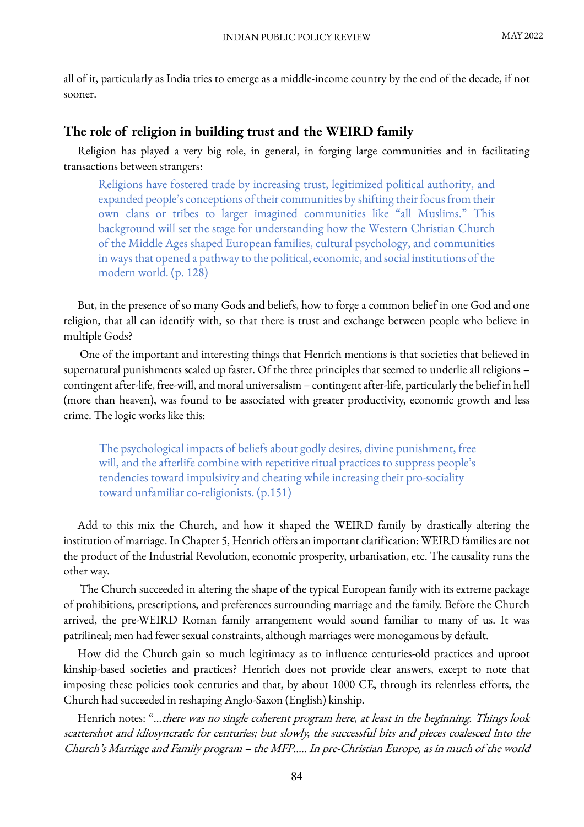all of it, particularly as India tries to emerge as a middle-income country by the end of the decade, if not sooner.

#### **The role of religion in building trust and the WEIRD family**

Religion has played a very big role, in general, in forging large communities and in facilitating transactions between strangers:

Religions have fostered trade by increasing trust, legitimized political authority, and expanded people's conceptions of their communities by shifting their focus from their own clans or tribes to larger imagined communities like "all Muslims." This background will set the stage for understanding how the Western Christian Church of the Middle Ages shaped European families, cultural psychology, and communities in ways that opened a pathway to the political, economic, and social institutions of the modern world. (p. 128)

But, in the presence of so many Gods and beliefs, how to forge a common belief in one God and one religion, that all can identify with, so that there is trust and exchange between people who believe in multiple Gods?

One of the important and interesting things that Henrich mentions is that societies that believed in supernatural punishments scaled up faster. Of the three principles that seemed to underlie all religions – contingent after-life, free-will, and moral universalism – contingent after-life, particularly the belief in hell (more than heaven), was found to be associated with greater productivity, economic growth and less crime. The logic works like this:

The psychological impacts of beliefs about godly desires, divine punishment, free will, and the afterlife combine with repetitive ritual practices to suppress people's tendencies toward impulsivity and cheating while increasing their pro-sociality toward unfamiliar co-religionists. (p.151)

Add to this mix the Church, and how it shaped the WEIRD family by drastically altering the institution of marriage. In Chapter 5, Henrich offers an important clarification: WEIRD families are not the product of the Industrial Revolution, economic prosperity, urbanisation, etc. The causality runs the other way.

The Church succeeded in altering the shape of the typical European family with its extreme package of prohibitions, prescriptions, and preferences surrounding marriage and the family. Before the Church arrived, the pre-WEIRD Roman family arrangement would sound familiar to many of us. It was patrilineal; men had fewer sexual constraints, although marriages were monogamous by default.

How did the Church gain so much legitimacy as to influence centuries-old practices and uproot kinship-based societies and practices? Henrich does not provide clear answers, except to note that imposing these policies took centuries and that, by about 1000 CE, through its relentless efforts, the Church had succeeded in reshaping Anglo-Saxon (English) kinship.

Henrich notes: "…there was no single coherent program here, at least in the beginning. Things look scattershot and idiosyncratic for centuries; but slowly, the successful bits and pieces coalesced into the Church's Marriage and Family program – the MFP….. In pre-Christian Europe, as in much of the world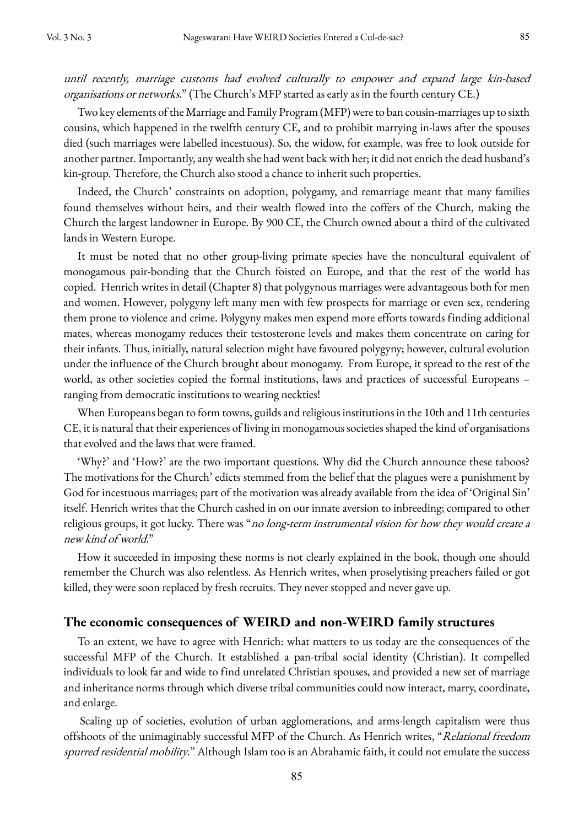until recently, marriage customs had evolved culturally to empower and expand large kin-based organisations or networks." (The Church's MFP started as early as in the fourth century CE.)

Two key elements of the Marriage and Family Program (MFP) were to ban cousin-marriages up to sixth cousins, which happened in the twelfth century CE, and to prohibit marrying in-laws after the spouses died (such marriages were labelled incestuous). So, the widow, for example, was free to look outside for another partner. Importantly, any wealth she had went back with her; it did not enrich the dead husband's kin-group. Therefore, the Church also stood a chance to inherit such properties.

Indeed, the Church' constraints on adoption, polygamy, and remarriage meant that many families found themselves without heirs, and their wealth flowed into the coffers of the Church, making the Church the largest landowner in Europe. By 900 CE, the Church owned about a third of the cultivated lands in Western Europe.

It must be noted that no other group-living primate species have the noncultural equivalent of monogamous pair-bonding that the Church foisted on Europe, and that the rest of the world has copied. Henrich writes in detail (Chapter 8) that polygynous marriages were advantageous both for men and women. However, polygyny left many men with few prospects for marriage or even sex, rendering them prone to violence and crime. Polygyny makes men expend more efforts towards finding additional mates, whereas monogamy reduces their testosterone levels and makes them concentrate on caring for their infants. Thus, initially, natural selection might have favoured polygyny; however, cultural evolution under the influence of the Church brought about monogamy. From Europe, it spread to the rest of the world, as other societies copied the formal institutions, laws and practices of successful Europeans – ranging from democratic institutions to wearing neckties!

When Europeans began to form towns, guilds and religious institutions in the 10th and 11th centuries CE, it is natural that their experiences of living in monogamous societies shaped the kind of organisations that evolved and the laws that were framed.

'Why?' and 'How?' are the two important questions. Why did the Church announce these taboos? The motivations for the Church' edicts stemmed from the belief that the plagues were a punishment by God for incestuous marriages; part of the motivation was already available from the idea of 'Original Sin' itself. Henrich writes that the Church cashed in on our innate aversion to inbreeding; compared to other religious groups, it got lucky. There was "no long-term instrumental vision for how they would create a new kind of world."

How it succeeded in imposing these norms is not clearly explained in the book, though one should remember the Church was also relentless. As Henrich writes, when proselytising preachers failed or got killed, they were soon replaced by fresh recruits. They never stopped and never gave up.

#### **The economic consequences of WEIRD and non-WEIRD family structures**

To an extent, we have to agree with Henrich: what matters to us today are the consequences of the successful MFP of the Church. It established a pan-tribal social identity (Christian). It compelled individuals to look far and wide to find unrelated Christian spouses, and provided a new set of marriage and inheritance norms through which diverse tribal communities could now interact, marry, coordinate, and enlarge.

Scaling up of societies, evolution of urban agglomerations, and arms-length capitalism were thus offshoots of the unimaginably successful MFP of the Church. As Henrich writes, "Relational freedom spurred residential mobility." Although Islam too is an Abrahamic faith, it could not emulate the success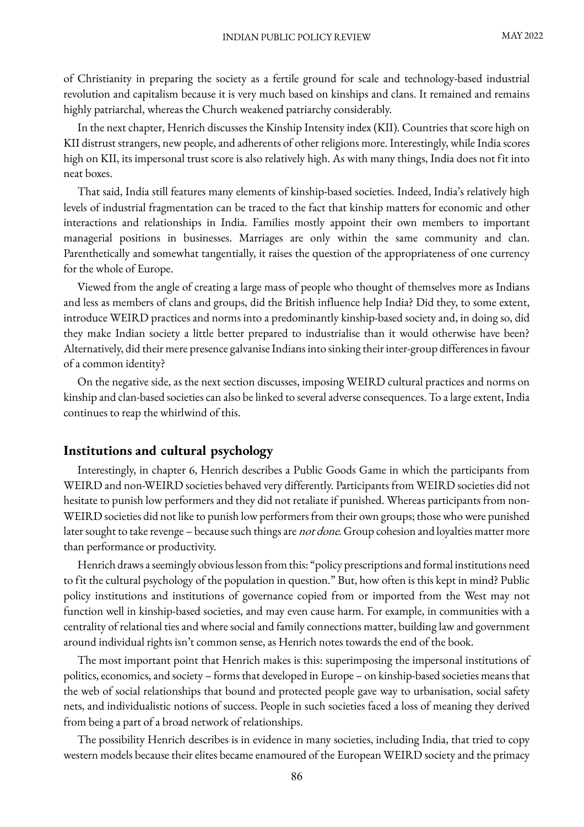of Christianity in preparing the society as a fertile ground for scale and technology-based industrial revolution and capitalism because it is very much based on kinships and clans. It remained and remains highly patriarchal, whereas the Church weakened patriarchy considerably.

In the next chapter, Henrich discusses the Kinship Intensity index (KII). Countries that score high on KII distrust strangers, new people, and adherents of other religions more. Interestingly, while India scores high on KII, its impersonal trust score is also relatively high. As with many things, India does not fit into neat boxes.

That said, India still features many elements of kinship-based societies. Indeed, India's relatively high levels of industrial fragmentation can be traced to the fact that kinship matters for economic and other interactions and relationships in India. Families mostly appoint their own members to important managerial positions in businesses. Marriages are only within the same community and clan. Parenthetically and somewhat tangentially, it raises the question of the appropriateness of one currency for the whole of Europe.

Viewed from the angle of creating a large mass of people who thought of themselves more as Indians and less as members of clans and groups, did the British influence help India? Did they, to some extent, introduce WEIRD practices and norms into a predominantly kinship-based society and, in doing so, did they make Indian society a little better prepared to industrialise than it would otherwise have been? Alternatively, did their mere presence galvanise Indians into sinking their inter-group differences in favour of a common identity?

On the negative side, as the next section discusses, imposing WEIRD cultural practices and norms on kinship and clan-based societies can also be linked to several adverse consequences. To a large extent, India continues to reap the whirlwind of this.

#### **Institutions and cultural psychology**

Interestingly, in chapter 6, Henrich describes a Public Goods Game in which the participants from WEIRD and non-WEIRD societies behaved very differently. Participants from WEIRD societies did not hesitate to punish low performers and they did not retaliate if punished. Whereas participants from non-WEIRD societies did not like to punish low performers from their own groups; those who were punished later sought to take revenge – because such things are not done. Group cohesion and loyalties matter more than performance or productivity.

Henrich draws a seemingly obvious lesson from this: "policy prescriptions and formal institutions need to fit the cultural psychology of the population in question." But, how often is this kept in mind? Public policy institutions and institutions of governance copied from or imported from the West may not function well in kinship-based societies, and may even cause harm. For example, in communities with a centrality of relational ties and where social and family connections matter, building law and government around individual rights isn't common sense, as Henrich notes towards the end of the book.

The most important point that Henrich makes is this: superimposing the impersonal institutions of politics, economics, and society – forms that developed in Europe – on kinship-based societies means that the web of social relationships that bound and protected people gave way to urbanisation, social safety nets, and individualistic notions of success. People in such societies faced a loss of meaning they derived from being a part of a broad network of relationships.

The possibility Henrich describes is in evidence in many societies, including India, that tried to copy western models because their elites became enamoured of the European WEIRD society and the primacy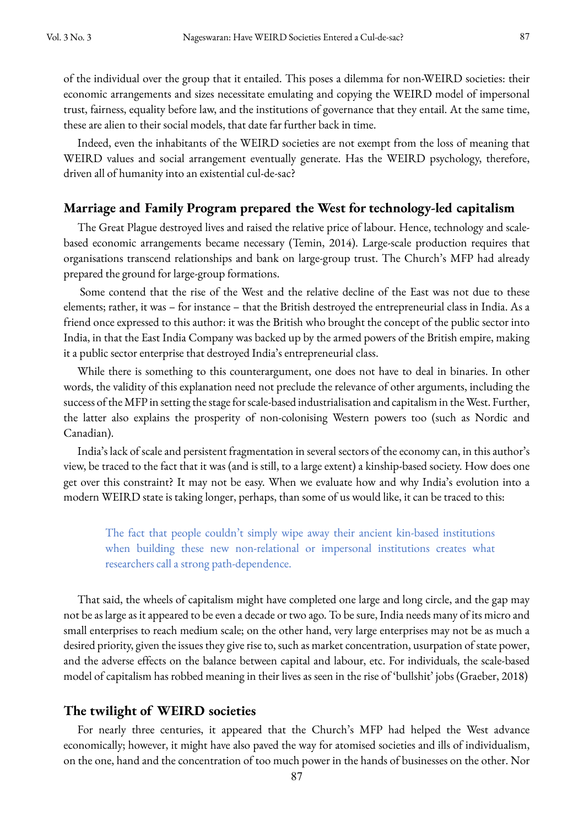of the individual over the group that it entailed. This poses a dilemma for non-WEIRD societies: their economic arrangements and sizes necessitate emulating and copying the WEIRD model of impersonal trust, fairness, equality before law, and the institutions of governance that they entail. At the same time, these are alien to their social models, that date far further back in time.

Indeed, even the inhabitants of the WEIRD societies are not exempt from the loss of meaning that WEIRD values and social arrangement eventually generate. Has the WEIRD psychology, therefore, driven all of humanity into an existential cul-de-sac?

#### **Marriage and Family Program prepared the West for technology-led capitalism**

The Great Plague destroyed lives and raised the relative price of labour. Hence, technology and scalebased economic arrangements became necessary (Temin, 2014). Large-scale production requires that organisations transcend relationships and bank on large-group trust. The Church's MFP had already prepared the ground for large-group formations.

Some contend that the rise of the West and the relative decline of the East was not due to these elements; rather, it was – for instance – that the British destroyed the entrepreneurial class in India. As a friend once expressed to this author: it was the British who brought the concept of the public sector into India, in that the East India Company was backed up by the armed powers of the British empire, making it a public sector enterprise that destroyed India's entrepreneurial class.

While there is something to this counterargument, one does not have to deal in binaries. In other words, the validity of this explanation need not preclude the relevance of other arguments, including the success of the MFP in setting the stage for scale-based industrialisation and capitalism in the West. Further, the latter also explains the prosperity of non-colonising Western powers too (such as Nordic and Canadian).

India's lack of scale and persistent fragmentation in several sectors of the economy can, in this author's view, be traced to the fact that it was (and is still, to a large extent) a kinship-based society. How does one get over this constraint? It may not be easy. When we evaluate how and why India's evolution into a modern WEIRD state is taking longer, perhaps, than some of us would like, it can be traced to this:

The fact that people couldn't simply wipe away their ancient kin-based institutions when building these new non-relational or impersonal institutions creates what researchers call a strong path-dependence.

That said, the wheels of capitalism might have completed one large and long circle, and the gap may not be as large as it appeared to be even a decade or two ago. To be sure, India needs many of its micro and small enterprises to reach medium scale; on the other hand, very large enterprises may not be as much a desired priority, given the issues they give rise to, such as market concentration, usurpation of state power, and the adverse effects on the balance between capital and labour, etc. For individuals, the scale-based model of capitalism has robbed meaning in their lives as seen in the rise of 'bullshit' jobs (Graeber, 2018)

#### **The twilight of WEIRD societies**

For nearly three centuries, it appeared that the Church's MFP had helped the West advance economically; however, it might have also paved the way for atomised societies and ills of individualism, on the one, hand and the concentration of too much power in the hands of businesses on the other. Nor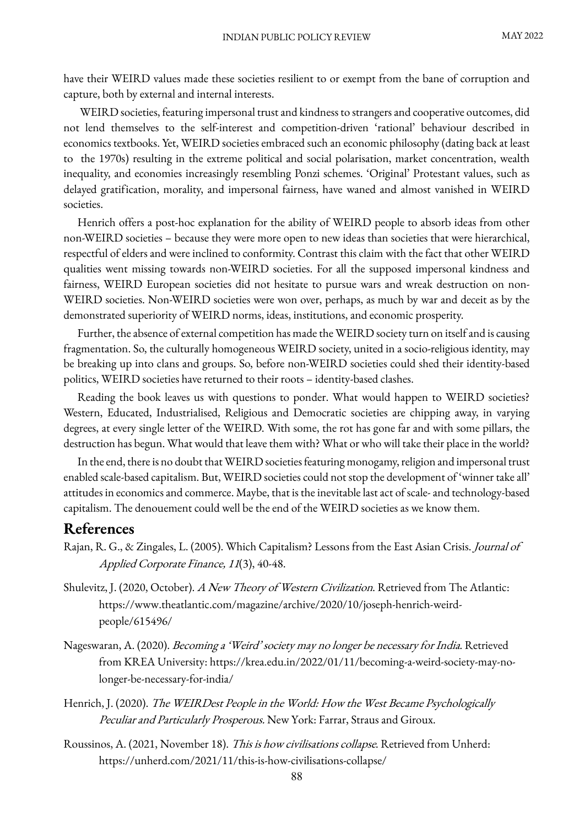have their WEIRD values made these societies resilient to or exempt from the bane of corruption and capture, both by external and internal interests.

WEIRD societies, featuring impersonal trust and kindness to strangers and cooperative outcomes, did not lend themselves to the self-interest and competition-driven 'rational' behaviour described in economics textbooks. Yet, WEIRD societies embraced such an economic philosophy (dating back at least to the 1970s) resulting in the extreme political and social polarisation, market concentration, wealth inequality, and economies increasingly resembling Ponzi schemes. 'Original' Protestant values, such as delayed gratification, morality, and impersonal fairness, have waned and almost vanished in WEIRD societies.

Henrich offers a post-hoc explanation for the ability of WEIRD people to absorb ideas from other non-WEIRD societies – because they were more open to new ideas than societies that were hierarchical, respectful of elders and were inclined to conformity. Contrast this claim with the fact that other WEIRD qualities went missing towards non-WEIRD societies. For all the supposed impersonal kindness and fairness, WEIRD European societies did not hesitate to pursue wars and wreak destruction on non-WEIRD societies. Non-WEIRD societies were won over, perhaps, as much by war and deceit as by the demonstrated superiority of WEIRD norms, ideas, institutions, and economic prosperity.

Further, the absence of external competition has made the WEIRD society turn on itself and is causing fragmentation. So, the culturally homogeneous WEIRD society, united in a socio-religious identity, may be breaking up into clans and groups. So, before non-WEIRD societies could shed their identity-based politics, WEIRD societies have returned to their roots – identity-based clashes.

Reading the book leaves us with questions to ponder. What would happen to WEIRD societies? Western, Educated, Industrialised, Religious and Democratic societies are chipping away, in varying degrees, at every single letter of the WEIRD. With some, the rot has gone far and with some pillars, the destruction has begun. What would that leave them with? What or who will take their place in the world?

In the end, there is no doubt that WEIRD societies featuring monogamy, religion and impersonal trust enabled scale-based capitalism. But, WEIRD societies could not stop the development of 'winner take all' attitudes in economics and commerce. Maybe, that is the inevitable last act of scale-and technology-based capitalism. The denouement could well be the end of the WEIRD societies as we know them.

#### **References**

- Rajan, R. G., & Zingales, L. (2005). Which Capitalism? Lessons from the East Asian Crisis. Journal of Applied Corporate Finance, 11(3), 40-48.
- Shulevitz, J. (2020, October). A New Theory of Western Civilization. Retrieved from The Atlantic: https://www.theatlantic.com/magazine/archive/2020/10/joseph-henrich-weirdpeople/615496/
- Nageswaran, A. (2020). Becoming a 'Weird' society may no longer be necessary for India. Retrieved from KREA University: https://krea.edu.in/2022/01/11/becoming-a-weird-society-may-nolonger-be-necessary-for-india/
- Henrich, J. (2020). The WEIRDest People in the World: How the West Became Psychologically Peculiar and Particularly Prosperous. New York: Farrar, Straus and Giroux.
- Roussinos, A. (2021, November 18). This is how civilisations collapse. Retrieved from Unherd: https://unherd.com/2021/11/this-is-how-civilisations-collapse/